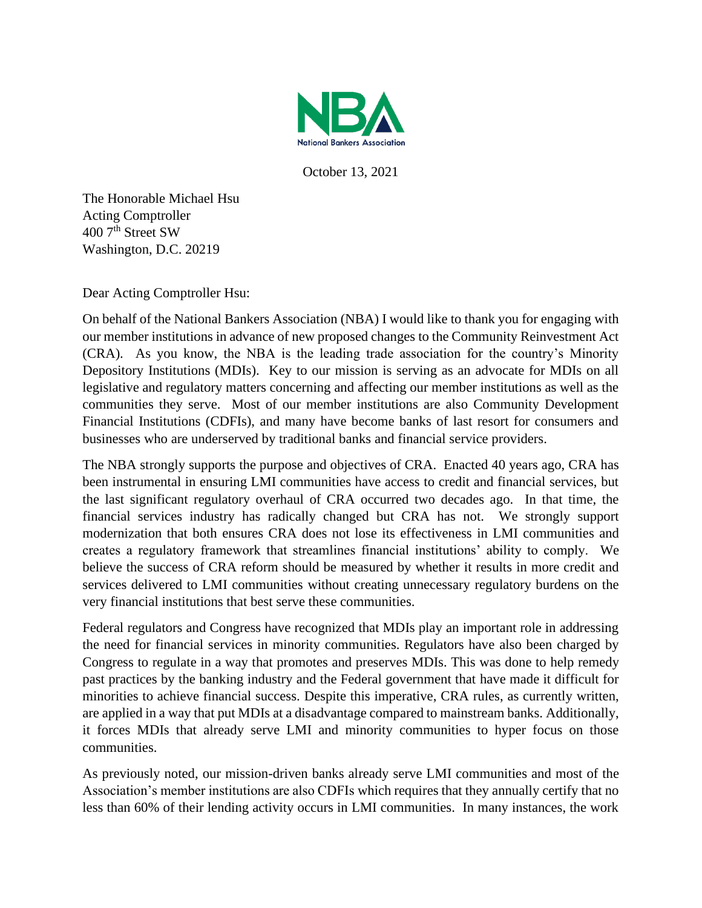

October 13, 2021

The Honorable Michael Hsu Acting Comptroller 400 7<sup>th</sup> Street SW Washington, D.C. 20219

Dear Acting Comptroller Hsu:

On behalf of the National Bankers Association (NBA) I would like to thank you for engaging with our member institutions in advance of new proposed changes to the Community Reinvestment Act (CRA). As you know, the NBA is the leading trade association for the country's Minority Depository Institutions (MDIs). Key to our mission is serving as an advocate for MDIs on all legislative and regulatory matters concerning and affecting our member institutions as well as the communities they serve. Most of our member institutions are also Community Development Financial Institutions (CDFIs), and many have become banks of last resort for consumers and businesses who are underserved by traditional banks and financial service providers.

The NBA strongly supports the purpose and objectives of CRA. Enacted 40 years ago, CRA has been instrumental in ensuring LMI communities have access to credit and financial services, but the last significant regulatory overhaul of CRA occurred two decades ago. In that time, the financial services industry has radically changed but CRA has not. We strongly support modernization that both ensures CRA does not lose its effectiveness in LMI communities and creates a regulatory framework that streamlines financial institutions' ability to comply. We believe the success of CRA reform should be measured by whether it results in more credit and services delivered to LMI communities without creating unnecessary regulatory burdens on the very financial institutions that best serve these communities.

Federal regulators and Congress have recognized that MDIs play an important role in addressing the need for financial services in minority communities. Regulators have also been charged by Congress to regulate in a way that promotes and preserves MDIs. This was done to help remedy past practices by the banking industry and the Federal government that have made it difficult for minorities to achieve financial success. Despite this imperative, CRA rules, as currently written, are applied in a way that put MDIs at a disadvantage compared to mainstream banks. Additionally, it forces MDIs that already serve LMI and minority communities to hyper focus on those communities.

As previously noted, our mission-driven banks already serve LMI communities and most of the Association's member institutions are also CDFIs which requires that they annually certify that no less than 60% of their lending activity occurs in LMI communities. In many instances, the work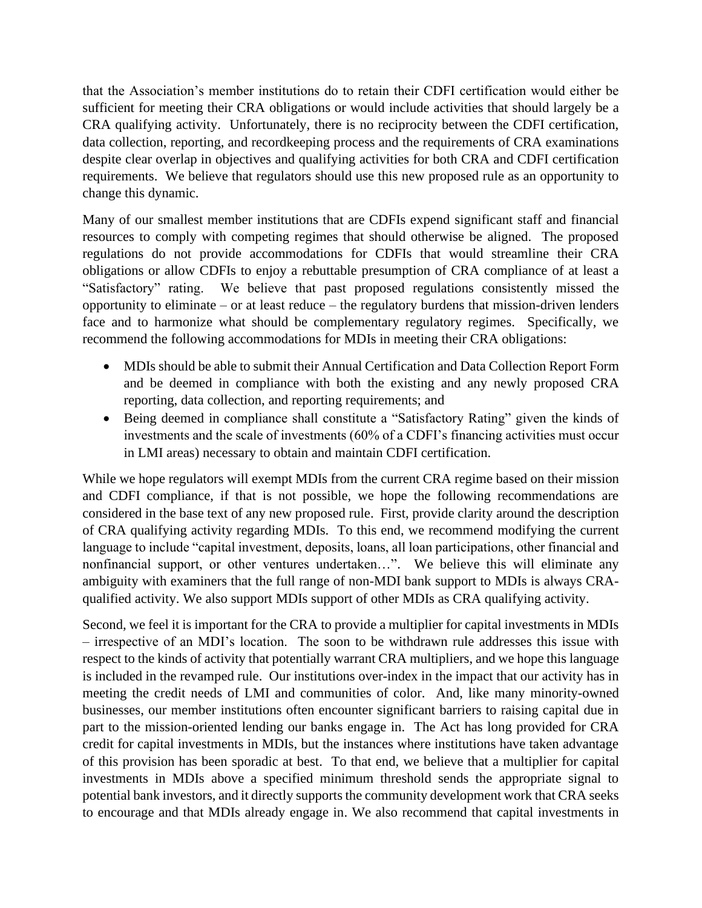that the Association's member institutions do to retain their CDFI certification would either be sufficient for meeting their CRA obligations or would include activities that should largely be a CRA qualifying activity. Unfortunately, there is no reciprocity between the CDFI certification, data collection, reporting, and recordkeeping process and the requirements of CRA examinations despite clear overlap in objectives and qualifying activities for both CRA and CDFI certification requirements. We believe that regulators should use this new proposed rule as an opportunity to change this dynamic.

Many of our smallest member institutions that are CDFIs expend significant staff and financial resources to comply with competing regimes that should otherwise be aligned. The proposed regulations do not provide accommodations for CDFIs that would streamline their CRA obligations or allow CDFIs to enjoy a rebuttable presumption of CRA compliance of at least a "Satisfactory" rating. We believe that past proposed regulations consistently missed the opportunity to eliminate – or at least reduce – the regulatory burdens that mission-driven lenders face and to harmonize what should be complementary regulatory regimes. Specifically, we recommend the following accommodations for MDIs in meeting their CRA obligations:

- MDIs should be able to submit their Annual Certification and Data Collection Report Form and be deemed in compliance with both the existing and any newly proposed CRA reporting, data collection, and reporting requirements; and
- Being deemed in compliance shall constitute a "Satisfactory Rating" given the kinds of investments and the scale of investments (60% of a CDFI's financing activities must occur in LMI areas) necessary to obtain and maintain CDFI certification.

While we hope regulators will exempt MDIs from the current CRA regime based on their mission and CDFI compliance, if that is not possible, we hope the following recommendations are considered in the base text of any new proposed rule. First, provide clarity around the description of CRA qualifying activity regarding MDIs. To this end, we recommend modifying the current language to include "capital investment, deposits, loans, all loan participations, other financial and nonfinancial support, or other ventures undertaken…". We believe this will eliminate any ambiguity with examiners that the full range of non-MDI bank support to MDIs is always CRAqualified activity. We also support MDIs support of other MDIs as CRA qualifying activity.

Second, we feel it is important for the CRA to provide a multiplier for capital investments in MDIs – irrespective of an MDI's location. The soon to be withdrawn rule addresses this issue with respect to the kinds of activity that potentially warrant CRA multipliers, and we hope this language is included in the revamped rule. Our institutions over-index in the impact that our activity has in meeting the credit needs of LMI and communities of color. And, like many minority-owned businesses, our member institutions often encounter significant barriers to raising capital due in part to the mission-oriented lending our banks engage in. The Act has long provided for CRA credit for capital investments in MDIs, but the instances where institutions have taken advantage of this provision has been sporadic at best. To that end, we believe that a multiplier for capital investments in MDIs above a specified minimum threshold sends the appropriate signal to potential bank investors, and it directly supports the community development work that CRA seeks to encourage and that MDIs already engage in. We also recommend that capital investments in